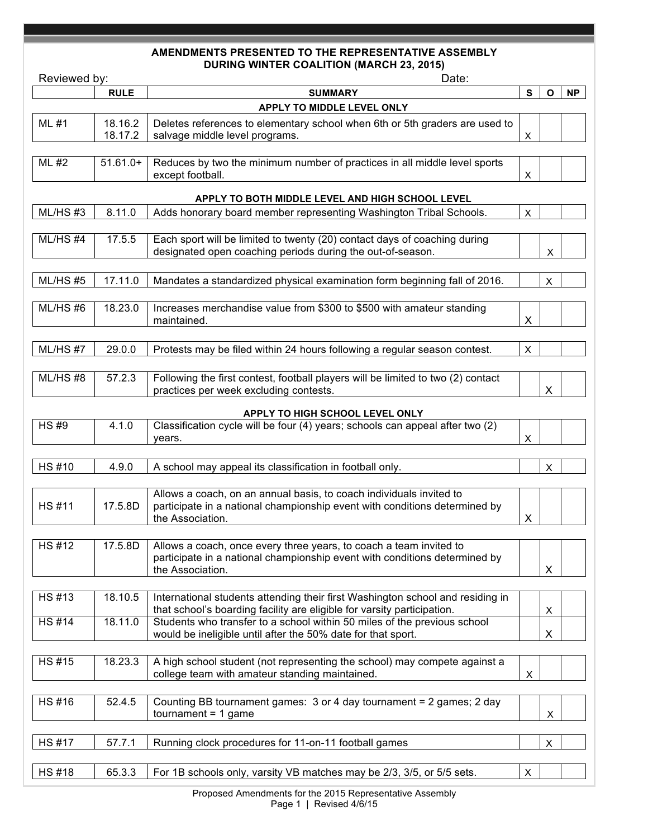## **AMENDMENTS PRESENTED TO THE REPRESENTATIVE ASSEMBLY DURING WINTER COALITION (MARCH 23, 2015)**

| Reviewed by: |                    | Date:                                                                                                                                                                          |   |              |           |  |  |  |  |  |  |
|--------------|--------------------|--------------------------------------------------------------------------------------------------------------------------------------------------------------------------------|---|--------------|-----------|--|--|--|--|--|--|
|              | <b>RULE</b>        | <b>SUMMARY</b>                                                                                                                                                                 | S | $\mathbf{o}$ | <b>NP</b> |  |  |  |  |  |  |
|              |                    | APPLY TO MIDDLE LEVEL ONLY                                                                                                                                                     |   |              |           |  |  |  |  |  |  |
| ML #1        | 18.16.2<br>18.17.2 | Deletes references to elementary school when 6th or 5th graders are used to<br>salvage middle level programs.                                                                  | X |              |           |  |  |  |  |  |  |
| ML #2        | $51.61.0+$         | Reduces by two the minimum number of practices in all middle level sports<br>except football.                                                                                  | X |              |           |  |  |  |  |  |  |
|              |                    | APPLY TO BOTH MIDDLE LEVEL AND HIGH SCHOOL LEVEL                                                                                                                               |   |              |           |  |  |  |  |  |  |
| ML/HS#3      | 8.11.0             | Adds honorary board member representing Washington Tribal Schools.                                                                                                             | X |              |           |  |  |  |  |  |  |
| ML/HS#4      | 17.5.5             | Each sport will be limited to twenty (20) contact days of coaching during<br>designated open coaching periods during the out-of-season.                                        |   | X            |           |  |  |  |  |  |  |
| ML/HS#5      | 17.11.0            | Mandates a standardized physical examination form beginning fall of 2016.                                                                                                      |   | X            |           |  |  |  |  |  |  |
| ML/HS#6      | 18.23.0            | Increases merchandise value from \$300 to \$500 with amateur standing<br>maintained.                                                                                           | X |              |           |  |  |  |  |  |  |
| ML/HS#7      | 29.0.0             | Protests may be filed within 24 hours following a regular season contest.                                                                                                      | X |              |           |  |  |  |  |  |  |
| ML/HS#8      | 57.2.3             | Following the first contest, football players will be limited to two (2) contact<br>practices per week excluding contests.                                                     |   | X            |           |  |  |  |  |  |  |
|              |                    | APPLY TO HIGH SCHOOL LEVEL ONLY                                                                                                                                                |   |              |           |  |  |  |  |  |  |
| <b>HS#9</b>  | 4.1.0              | Classification cycle will be four (4) years; schools can appeal after two (2)<br>years.                                                                                        | X |              |           |  |  |  |  |  |  |
| <b>HS#10</b> | 4.9.0              | A school may appeal its classification in football only.                                                                                                                       |   | X            |           |  |  |  |  |  |  |
| <b>HS#11</b> | 17.5.8D            | Allows a coach, on an annual basis, to coach individuals invited to<br>participate in a national championship event with conditions determined by<br>the Association.          | X |              |           |  |  |  |  |  |  |
|              |                    |                                                                                                                                                                                |   |              |           |  |  |  |  |  |  |
| <b>HS#12</b> |                    | 17.5.8D   Allows a coach, once every three years, to coach a team invited to<br>participate in a national championship event with conditions determined by<br>the Association. |   | X            |           |  |  |  |  |  |  |
| <b>HS#13</b> | 18.10.5            | International students attending their first Washington school and residing in<br>that school's boarding facility are eligible for varsity participation.                      |   | X            |           |  |  |  |  |  |  |
| <b>HS#14</b> | 18.11.0            | Students who transfer to a school within 50 miles of the previous school<br>would be ineligible until after the 50% date for that sport.                                       |   | X            |           |  |  |  |  |  |  |
| <b>HS#15</b> | 18.23.3            | A high school student (not representing the school) may compete against a<br>college team with amateur standing maintained.                                                    | X |              |           |  |  |  |  |  |  |
| HS #16       | 52.4.5             | Counting BB tournament games: 3 or 4 day tournament = 2 games; 2 day<br>$t$ normal = 1 game                                                                                    |   | X            |           |  |  |  |  |  |  |
|              |                    |                                                                                                                                                                                |   |              |           |  |  |  |  |  |  |
| <b>HS#17</b> | 57.7.1             | Running clock procedures for 11-on-11 football games                                                                                                                           |   | X            |           |  |  |  |  |  |  |
| <b>HS#18</b> | 65.3.3             | For 1B schools only, varsity VB matches may be 2/3, 3/5, or 5/5 sets.                                                                                                          | X |              |           |  |  |  |  |  |  |
|              |                    |                                                                                                                                                                                |   |              |           |  |  |  |  |  |  |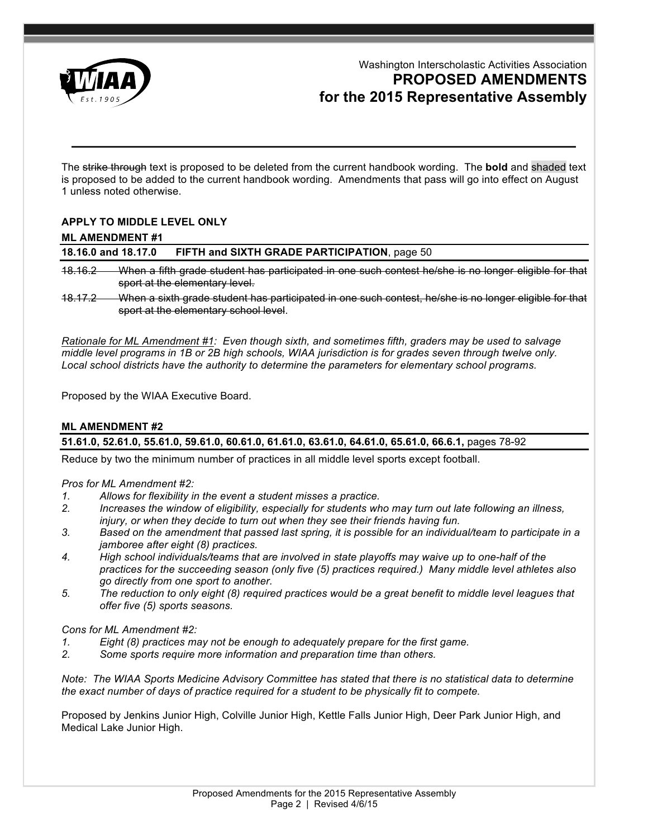

# Washington Interscholastic Activities Association **PROPOSED AMENDMENTS for the 2015 Representative Assembly**

The strike through text is proposed to be deleted from the current handbook wording. The **bold** and shaded text is proposed to be added to the current handbook wording. Amendments that pass will go into effect on August 1 unless noted otherwise.

# **APPLY TO MIDDLE LEVEL ONLY**

### **ML AMENDMENT #1**

### **18.16.0 and 18.17.0 FIFTH and SIXTH GRADE PARTICIPATION**, page 50

18.16.2 When a fifth grade student has participated in one such contest he/she is no longer eligible for that sport at the elementary level.

18.17.2 When a sixth grade student has participated in one such contest, he/she is no longer eligible for that sport at the elementary school level.

*Rationale for ML Amendment #1: Even though sixth, and sometimes fifth, graders may be used to salvage middle level programs in 1B or 2B high schools, WIAA jurisdiction is for grades seven through twelve only.*  Local school districts have the authority to determine the parameters for elementary school programs.

Proposed by the WIAA Executive Board.

# **ML AMENDMENT #2 51.61.0, 52.61.0, 55.61.0, 59.61.0, 60.61.0, 61.61.0, 63.61.0, 64.61.0, 65.61.0, 66.6.1,** pages 78-92

Reduce by two the minimum number of practices in all middle level sports except football.

*Pros for ML Amendment #2:* 

- *1. Allows for flexibility in the event a student misses a practice.*
- *2. Increases the window of eligibility, especially for students who may turn out late following an illness, injury, or when they decide to turn out when they see their friends having fun.*
- *3. Based on the amendment that passed last spring, it is possible for an individual/team to participate in a jamboree after eight (8) practices.*
- *4. High school individuals/teams that are involved in state playoffs may waive up to one-half of the practices for the succeeding season (only five (5) practices required.) Many middle level athletes also go directly from one sport to another.*
- *5. The reduction to only eight (8) required practices would be a great benefit to middle level leagues that offer five (5) sports seasons.*

#### *Cons for ML Amendment #2:*

- *1. Eight (8) practices may not be enough to adequately prepare for the first game.*
- *2. Some sports require more information and preparation time than others.*

*Note: The WIAA Sports Medicine Advisory Committee has stated that there is no statistical data to determine the exact number of days of practice required for a student to be physically fit to compete.*

Proposed by Jenkins Junior High, Colville Junior High, Kettle Falls Junior High, Deer Park Junior High, and Medical Lake Junior High.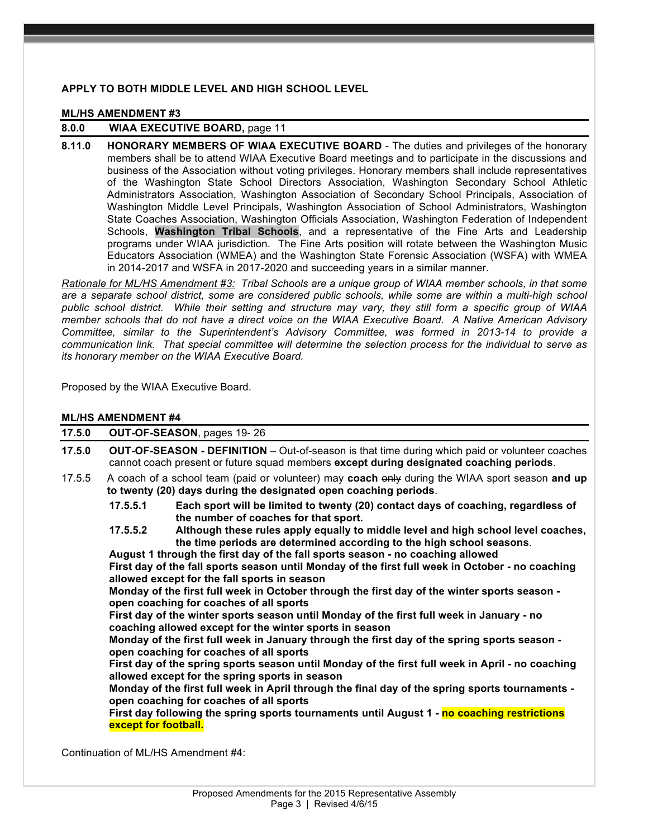### **APPLY TO BOTH MIDDLE LEVEL AND HIGH SCHOOL LEVEL**

#### **ML/HS AMENDMENT #3**

# **8.0.0 WIAA EXECUTIVE BOARD,** page 11

**8.11.0 HONORARY MEMBERS OF WIAA EXECUTIVE BOARD** - The duties and privileges of the honorary members shall be to attend WIAA Executive Board meetings and to participate in the discussions and business of the Association without voting privileges. Honorary members shall include representatives of the Washington State School Directors Association, Washington Secondary School Athletic Administrators Association, Washington Association of Secondary School Principals, Association of Washington Middle Level Principals, Washington Association of School Administrators, Washington State Coaches Association, Washington Officials Association, Washington Federation of Independent Schools, **Washington Tribal Schools**, and a representative of the Fine Arts and Leadership programs under WIAA jurisdiction. The Fine Arts position will rotate between the Washington Music Educators Association (WMEA) and the Washington State Forensic Association (WSFA) with WMEA in 2014-2017 and WSFA in 2017-2020 and succeeding years in a similar manner.

*Rationale for ML/HS Amendment #3: Tribal Schools are a unique group of WIAA member schools, in that some are a separate school district, some are considered public schools, while some are within a multi-high school public school district. While their setting and structure may vary, they still form a specific group of WIAA member schools that do not have a direct voice on the WIAA Executive Board. A Native American Advisory Committee, similar to the Superintendent's Advisory Committee, was formed in 2013-14 to provide a communication link. That special committee will determine the selection process for the individual to serve as its honorary member on the WIAA Executive Board.*

Proposed by the WIAA Executive Board.

#### **ML/HS AMENDMENT #4**

| 17.5.0 | OUT-OF-SEASON, pages 19-26                                                                                                                                                                                                                               |  |
|--------|----------------------------------------------------------------------------------------------------------------------------------------------------------------------------------------------------------------------------------------------------------|--|
| 17.5.0 | <b>OUT-OF-SEASON - DEFINITION</b> – Out-of-season is that time during which paid or volunteer coaches<br>cannot coach present or future squad members except during designated coaching periods.                                                         |  |
| 17.5.5 | A coach of a school team (paid or volunteer) may coach only during the WIAA sport season and up<br>to twenty (20) days during the designated open coaching periods.                                                                                      |  |
|        | Each sport will be limited to twenty (20) contact days of coaching, regardless of<br>17.5.5.1<br>the number of coaches for that sport.                                                                                                                   |  |
|        | Although these rules apply equally to middle level and high school level coaches,<br>17.5.5.2<br>the time periods are determined according to the high school seasons.<br>August 1 through the first day of the fall sports season - no coaching allowed |  |
|        | First day of the fall sports season until Monday of the first full week in October - no coaching<br>allowed except for the fall sports in season                                                                                                         |  |
|        | Monday of the first full week in October through the first day of the winter sports season -<br>open coaching for coaches of all sports                                                                                                                  |  |
|        | First day of the winter sports season until Monday of the first full week in January - no<br>coaching allowed except for the winter sports in season                                                                                                     |  |
|        | Monday of the first full week in January through the first day of the spring sports season -<br>open coaching for coaches of all sports                                                                                                                  |  |
|        | First day of the spring sports season until Monday of the first full week in April - no coaching<br>allowed except for the spring sports in season                                                                                                       |  |
|        | Monday of the first full week in April through the final day of the spring sports tournaments -<br>open coaching for coaches of all sports                                                                                                               |  |
|        | First day following the spring sports tournaments until August 1 - no coaching restrictions<br>except for football.                                                                                                                                      |  |
|        | $\bigcap_{i=1}^n A_i$ is the set of KAI and $\bigcap_{i=1}^n A_i$ is a set of $H A$                                                                                                                                                                      |  |

Continuation of ML/HS Amendment #4: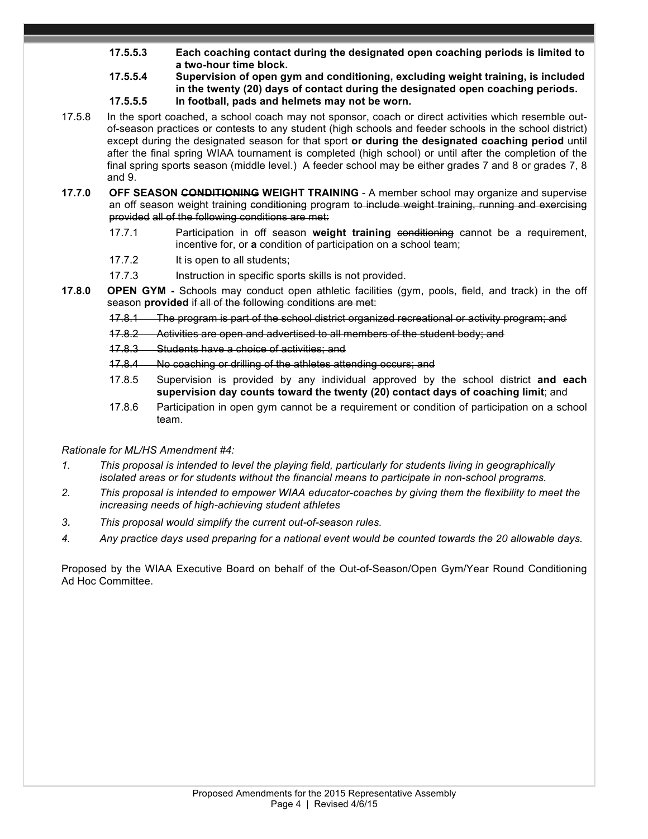- **17.5.5.3 Each coaching contact during the designated open coaching periods is limited to a two-hour time block.**
- **17.5.5.4 Supervision of open gym and conditioning, excluding weight training, is included in the twenty (20) days of contact during the designated open coaching periods. 17.5.5.5 In football, pads and helmets may not be worn.**
- 17.5.8 In the sport coached, a school coach may not sponsor, coach or direct activities which resemble outof-season practices or contests to any student (high schools and feeder schools in the school district) except during the designated season for that sport **or during the designated coaching period** until after the final spring WIAA tournament is completed (high school) or until after the completion of the final spring sports season (middle level.) A feeder school may be either grades 7 and 8 or grades 7, 8 and 9.
- **17.7.0 OFF SEASON CONDITIONING WEIGHT TRAINING** A member school may organize and supervise an off season weight training conditioning program to include weight training, running and exercising provided all of the following conditions are met:
	- 17.7.1 Participation in off season **weight training** conditioning cannot be a requirement, incentive for, or **a** condition of participation on a school team;
	- 17.7.2 It is open to all students;
	- 17.7.3 Instruction in specific sports skills is not provided.
- **17.8.0 OPEN GYM -** Schools may conduct open athletic facilities (gym, pools, field, and track) in the off season **provided** if all of the following conditions are met:
	- 17.8.1 The program is part of the school district organized recreational or activity program: and
	- 17.8.2 Activities are open and advertised to all members of the student body; and
	- 17.8.3 Students have a choice of activities; and
	- 17.8.4 No coaching or drilling of the athletes attending occurs; and
	- 17.8.5 Supervision is provided by any individual approved by the school district **and each supervision day counts toward the twenty (20) contact days of coaching limit**; and
	- 17.8.6 Participation in open gym cannot be a requirement or condition of participation on a school team.

# *Rationale for ML/HS Amendment #4:*

- *1. This proposal is intended to level the playing field, particularly for students living in geographically isolated areas or for students without the financial means to participate in non-school programs.*
- *2. This proposal is intended to empower WIAA educator-coaches by giving them the flexibility to meet the increasing needs of high-achieving student athletes*
- *3. This proposal would simplify the current out-of-season rules.*
- *4. Any practice days used preparing for a national event would be counted towards the 20 allowable days.*

Proposed by the WIAA Executive Board on behalf of the Out-of-Season/Open Gym/Year Round Conditioning Ad Hoc Committee.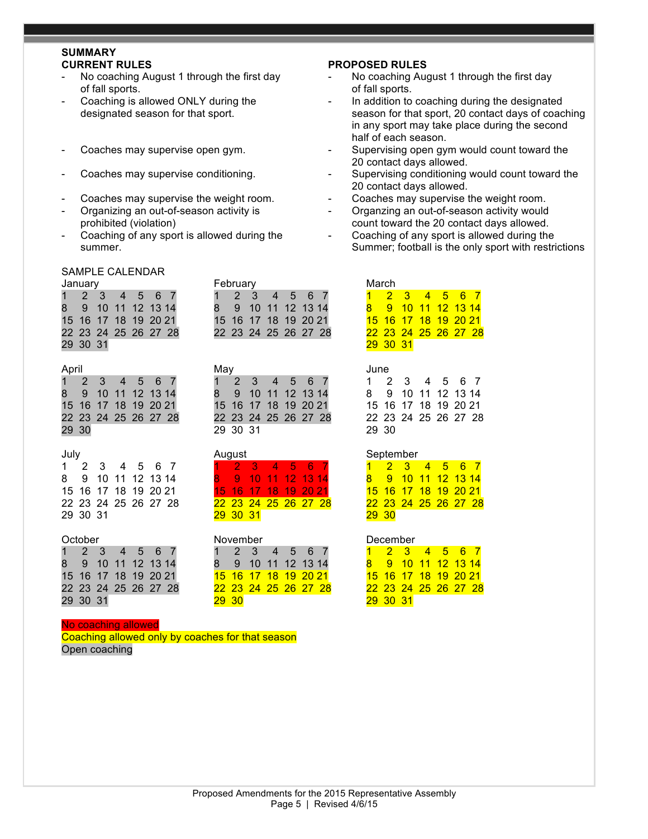# **SUMMARY**

- of fall sports.  $\blacksquare$
- 
- 
- 
- 
- 
- 

February

#### SAMPLE CALENDAR

| January              |  |  |  | <b>February</b>      |  |  |  | March |                     |  |
|----------------------|--|--|--|----------------------|--|--|--|-------|---------------------|--|
| 1 2 3 4 5 6 7        |  |  |  | 1 2 3 4 5 6 7        |  |  |  |       | $1 \quad 2 \quad 3$ |  |
| 8 9 10 11 12 13 14   |  |  |  | 8 9 10 11 12 13 14   |  |  |  |       | 8 9 10              |  |
| 15 16 17 18 19 20 21 |  |  |  | 15 16 17 18 19 20 21 |  |  |  |       | <b>15 16 17</b>     |  |
| 22 23 24 25 26 27 28 |  |  |  | 22 23 24 25 26 27 28 |  |  |  |       | 22 23 24            |  |
| 29 30 31             |  |  |  |                      |  |  |  |       | 29 30 31            |  |

| April | Mav | June |
|-------|-----|------|
|       | __  |      |

|       | 1 2 3 4 5 6 7        |  |  | 1 2 3 4 5 6 7        |  |  |  |
|-------|----------------------|--|--|----------------------|--|--|--|
|       | 8 9 10 11 12 13 14   |  |  | 8 9 10 11 12 13 14   |  |  |  |
|       | 15 16 17 18 19 20 21 |  |  | 15 16 17 18 19 20 21 |  |  |  |
|       | 22 23 24 25 26 27 28 |  |  | 22 23 24 25 26 27 28 |  |  |  |
| 29 30 |                      |  |  | 29 30 31             |  |  |  |

1 2 3 4 5 6 7 1 2 3 4 5 6 7 8 9 10 11 12 13 14 8 9 10 11 12 13 14 15 16 17 18 19 20 21 15 16 17 18 19 20 21 22 23 24 25 26 27 28 22 23 24 25 26 27 28 22 23 24 25 26 27 28 29 30 31 29 30 31

|          |  | 1 2 3 4 5 6 7        |  |  |              | 1 2 3 4 5 6 7        |  |  |  | $1 \quad 2 \quad 3$ |  |
|----------|--|----------------------|--|--|--------------|----------------------|--|--|--|---------------------|--|
|          |  | 8 9 10 11 12 13 14   |  |  |              | 8 9 10 11 12 13 14   |  |  |  | 8 9 10              |  |
|          |  | 15 16 17 18 19 20 21 |  |  |              | 15 16 17 18 19 20 21 |  |  |  | <b>15 16 17</b>     |  |
|          |  | 22 23 24 25 26 27 28 |  |  |              | 22 23 24 25 26 27 28 |  |  |  | 22 23 24            |  |
| 29 30 31 |  |                      |  |  | <b>29 30</b> |                      |  |  |  | 29 30 31            |  |

#### No coaching allowed

Coaching allowed only by coaches for that season Open coaching

#### **CURRENT RULES PROPOSED RULES**

- No coaching August 1 through the first day  $\qquad -$  No coaching August 1 through the first day
- Coaching is allowed ONLY during the  $\qquad \qquad -$  In addition to coaching during the designated designated season for that sport. season for that sport, 20 contact days of coaching in any sport may take place during the second half of each season.
- Coaches may supervise open gym.  $\qquad \qquad$  Supervising open gym would count toward the 20 contact days allowed.
- Coaches may supervise conditioning. The Supervising conditioning would count toward the 20 contact days allowed.
- Coaches may supervise the weight room.  $\qquad \qquad -$  Coaches may supervise the weight room.
- Organizing an out-of-season activity is  $\qquad \qquad -$  Organzing an out-of-season activity would prohibited (violation) count toward the 20 contact days allowed.
- Coaching of any sport is allowed during the  $\qquad -$  Coaching of any sport is allowed during the summer. Summer; football is the only sport with restrictions of the structure of the structure of the structure of the structure of the structure of the structure of the structure of the structure of the structure of the s

| January              |  |  |  |                    | February |                      |  |  |                             | March                |  |  |  |
|----------------------|--|--|--|--------------------|----------|----------------------|--|--|-----------------------------|----------------------|--|--|--|
| 1 2 3 4 5 6 7        |  |  |  |                    |          | 1 2 3 4 5 6 7        |  |  |                             | 2 3 4 5 6 7          |  |  |  |
| 8 9 10 11 12 13 14   |  |  |  | 8 9 10 11 12 13 14 |          |                      |  |  | 8 9 10 11 12 13 14          |                      |  |  |  |
| 15 16 17 18 19 20 21 |  |  |  |                    |          | 15 16 17 18 19 20 21 |  |  | <u>15 16 17 18 19 20 21</u> |                      |  |  |  |
| 22 23 24 25 26 27 28 |  |  |  |                    |          | 22 23 24 25 26 27 28 |  |  |                             | 22 23 24 25 26 27 28 |  |  |  |
| 29 30 31             |  |  |  |                    |          |                      |  |  |                             | 29 30 31             |  |  |  |

|       | 1 2 3 4 5 6 7        |  |  |
|-------|----------------------|--|--|
|       | 8 9 10 11 12 13 14   |  |  |
|       | 15 16 17 18 19 20 21 |  |  |
|       | 22 23 24 25 26 27 28 |  |  |
| 29 30 |                      |  |  |

#### July August September

| 29 30 |  |  |                                                                                             |
|-------|--|--|---------------------------------------------------------------------------------------------|
|       |  |  | 1 2 3 4 5 6 7<br>8  9 10 11 12 13 14<br><u>15 16 17 18 19 20 21</u><br>22 23 24 25 26 27 28 |

#### October November December

|             |          | 2 3 4 5 6 7          |  |  |
|-------------|----------|----------------------|--|--|
| $8^{\circ}$ |          | 9 10 11 12 13 14     |  |  |
|             |          | 15 16 17 18 19 20 21 |  |  |
|             |          | 22 23 24 25 26 27 28 |  |  |
|             | 29 30 31 |                      |  |  |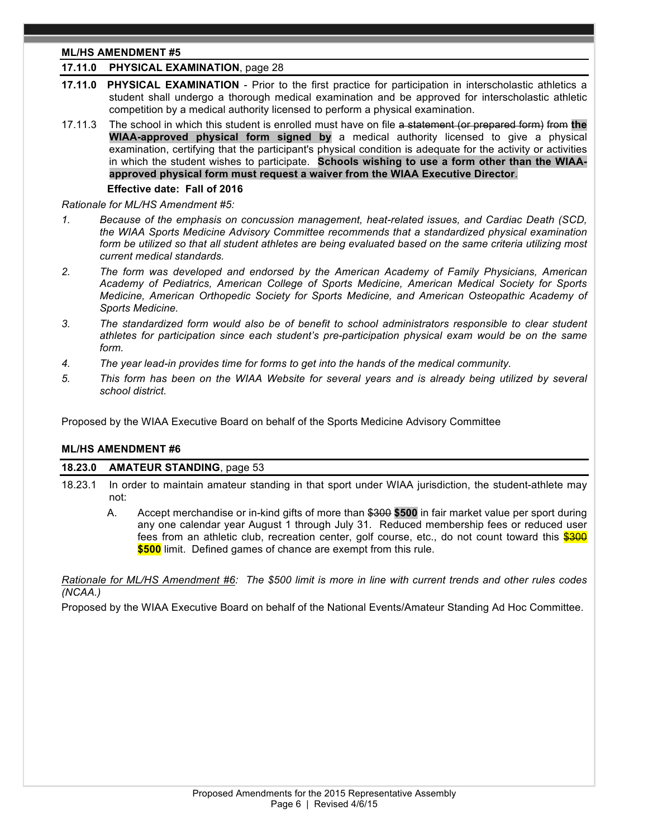# **ML/HS AMENDMENT #5**

# **17.11.0 PHYSICAL EXAMINATION**, page 28

- **17.11.0 PHYSICAL EXAMINATION** Prior to the first practice for participation in interscholastic athletics a student shall undergo a thorough medical examination and be approved for interscholastic athletic competition by a medical authority licensed to perform a physical examination.
- 17.11.3 The school in which this student is enrolled must have on file a statement (or prepared form) from **the WIAA-approved physical form signed by** a medical authority licensed to give a physical examination, certifying that the participant's physical condition is adequate for the activity or activities in which the student wishes to participate. **Schools wishing to use a form other than the WIAAapproved physical form must request a waiver from the WIAA Executive Director**.

#### **Effective date: Fall of 2016**

*Rationale for ML/HS Amendment #5:* 

- *1. Because of the emphasis on concussion management, heat-related issues, and Cardiac Death (SCD, the WIAA Sports Medicine Advisory Committee recommends that a standardized physical examination form be utilized so that all student athletes are being evaluated based on the same criteria utilizing most current medical standards.*
- *2. The form was developed and endorsed by the American Academy of Family Physicians, American Academy of Pediatrics, American College of Sports Medicine, American Medical Society for Sports Medicine, American Orthopedic Society for Sports Medicine, and American Osteopathic Academy of Sports Medicine.*
- *3. The standardized form would also be of benefit to school administrators responsible to clear student athletes for participation since each student's pre-participation physical exam would be on the same form.*
- *4. The year lead-in provides time for forms to get into the hands of the medical community.*
- *5. This form has been on the WIAA Website for several years and is already being utilized by several school district.*

Proposed by the WIAA Executive Board on behalf of the Sports Medicine Advisory Committee

#### **ML/HS AMENDMENT #6**

#### **18.23.0 AMATEUR STANDING**, page 53

- 18.23.1 In order to maintain amateur standing in that sport under WIAA jurisdiction, the student-athlete may not:
	- A. Accept merchandise or in-kind gifts of more than \$300 **\$500** in fair market value per sport during any one calendar year August 1 through July 31. Reduced membership fees or reduced user fees from an athletic club, recreation center, golf course, etc., do not count toward this \$300 **\$500** limit. Defined games of chance are exempt from this rule.

*Rationale for ML/HS Amendment #6: The \$500 limit is more in line with current trends and other rules codes (NCAA.)*

Proposed by the WIAA Executive Board on behalf of the National Events/Amateur Standing Ad Hoc Committee.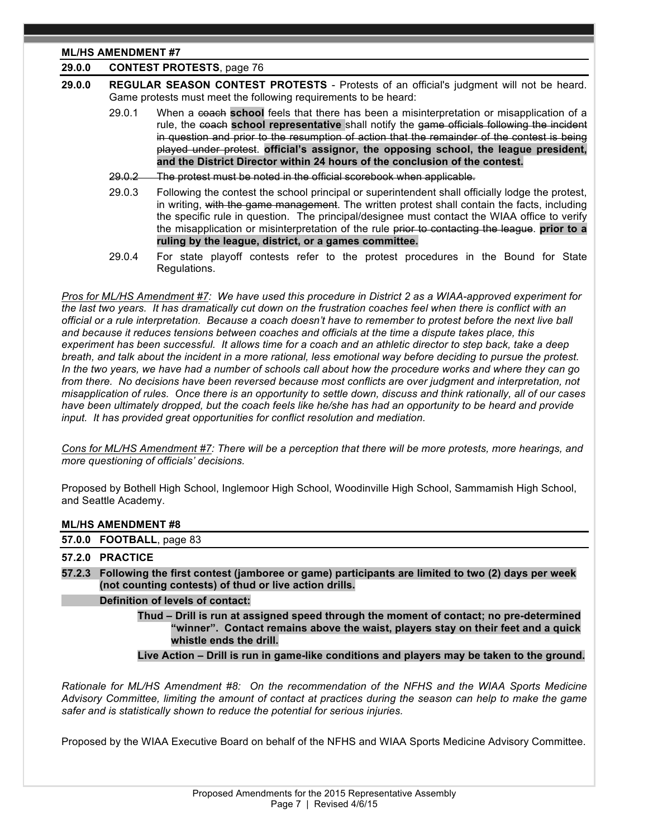# **ML/HS AMENDMENT #7**

| 29.0.0 | <b>CONTEST PROTESTS, page 76</b> |
|--------|----------------------------------|
|--------|----------------------------------|

- **29.0.0 REGULAR SEASON CONTEST PROTESTS** Protests of an official's judgment will not be heard. Game protests must meet the following requirements to be heard:
	- 29.0.1 When a coach **school** feels that there has been a misinterpretation or misapplication of a rule, the coach **school representative** shall notify the game officials following the incident in question and prior to the resumption of action that the remainder of the contest is being played under protest. **official's assignor, the opposing school, the league president, and the District Director within 24 hours of the conclusion of the contest.**
	- 29.0.2 The protest must be noted in the official scorebook when applicable.
	- 29.0.3 Following the contest the school principal or superintendent shall officially lodge the protest, in writing, with the game management. The written protest shall contain the facts, including the specific rule in question. The principal/designee must contact the WIAA office to verify the misapplication or misinterpretation of the rule prior to contacting the league. **prior to a ruling by the league, district, or a games committee.**
	- 29.0.4 For state playoff contests refer to the protest procedures in the Bound for State Regulations.

*Pros for ML/HS Amendment #7: We have used this procedure in District 2 as a WIAA-approved experiment for the last two years. It has dramatically cut down on the frustration coaches feel when there is conflict with an official or a rule interpretation. Because a coach doesn't have to remember to protest before the next live ball and because it reduces tensions between coaches and officials at the time a dispute takes place, this experiment has been successful. It allows time for a coach and an athletic director to step back, take a deep breath, and talk about the incident in a more rational, less emotional way before deciding to pursue the protest. In the two years, we have had a number of schools call about how the procedure works and where they can go from there. No decisions have been reversed because most conflicts are over judgment and interpretation, not misapplication of rules. Once there is an opportunity to settle down, discuss and think rationally, all of our cases*  have been ultimately dropped, but the coach feels like he/she has had an opportunity to be heard and provide *input. It has provided great opportunities for conflict resolution and mediation.*

*Cons for ML/HS Amendment #7: There will be a perception that there will be more protests, more hearings, and more questioning of officials' decisions.* 

Proposed by Bothell High School, Inglemoor High School, Woodinville High School, Sammamish High School, and Seattle Academy.

#### **ML/HS AMENDMENT #8**

**57.0.0 FOOTBALL**, page 83

#### **57.2.0 PRACTICE**

**57.2.3 Following the first contest (jamboree or game) participants are limited to two (2) days per week (not counting contests) of thud or live action drills.**

#### **Definition of levels of contact:**

**Thud – Drill is run at assigned speed through the moment of contact; no pre-determined "winner". Contact remains above the waist, players stay on their feet and a quick whistle ends the drill.**

**Live Action – Drill is run in game-like conditions and players may be taken to the ground.**

*Rationale for ML/HS Amendment #8: On the recommendation of the NFHS and the WIAA Sports Medicine Advisory Committee, limiting the amount of contact at practices during the season can help to make the game safer and is statistically shown to reduce the potential for serious injuries.*

Proposed by the WIAA Executive Board on behalf of the NFHS and WIAA Sports Medicine Advisory Committee.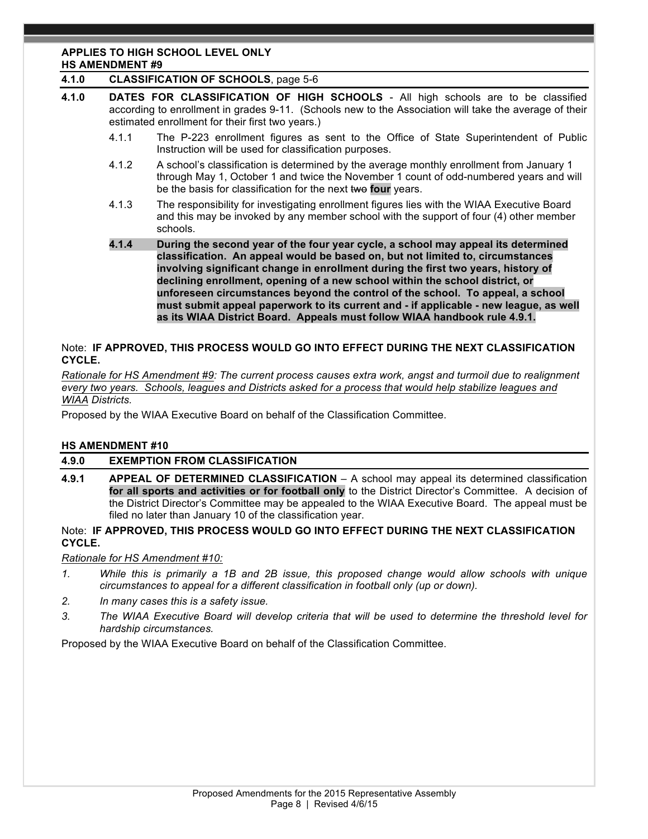#### **APPLIES TO HIGH SCHOOL LEVEL ONLY HS AMENDMENT #9**

# **4.1.0 CLASSIFICATION OF SCHOOLS**, page 5-6

- **4.1.0 DATES FOR CLASSIFICATION OF HIGH SCHOOLS** All high schools are to be classified according to enrollment in grades 9-11. (Schools new to the Association will take the average of their estimated enrollment for their first two years.)
	- 4.1.1 The P-223 enrollment figures as sent to the Office of State Superintendent of Public Instruction will be used for classification purposes.
	- 4.1.2 A school's classification is determined by the average monthly enrollment from January 1 through May 1, October 1 and twice the November 1 count of odd-numbered years and will be the basis for classification for the next two **four** years.
	- 4.1.3 The responsibility for investigating enrollment figures lies with the WIAA Executive Board and this may be invoked by any member school with the support of four (4) other member schools.
	- **4.1.4 During the second year of the four year cycle, a school may appeal its determined classification. An appeal would be based on, but not limited to, circumstances involving significant change in enrollment during the first two years, history of declining enrollment, opening of a new school within the school district, or unforeseen circumstances beyond the control of the school. To appeal, a school must submit appeal paperwork to its current and - if applicable - new league, as well as its WIAA District Board. Appeals must follow WIAA handbook rule 4.9.1.**

# Note:**IF APPROVED, THIS PROCESS WOULD GO INTO EFFECT DURING THE NEXT CLASSIFICATION CYCLE.**

*Rationale for HS Amendment #9: The current process causes extra work, angst and turmoil due to realignment every two years. Schools, leagues and Districts asked for a process that would help stabilize leagues and WIAA Districts.*

Proposed by the WIAA Executive Board on behalf of the Classification Committee.

# **HS AMENDMENT #10**

# **4.9.0 EXEMPTION FROM CLASSIFICATION**

**4.9.1 APPEAL OF DETERMINED CLASSIFICATION** – A school may appeal its determined classification **for all sports and activities or for football only** to the District Director's Committee. A decision of the District Director's Committee may be appealed to the WIAA Executive Board. The appeal must be filed no later than January 10 of the classification year.

### Note:**IF APPROVED, THIS PROCESS WOULD GO INTO EFFECT DURING THE NEXT CLASSIFICATION CYCLE.**

*Rationale for HS Amendment #10:* 

- *1. While this is primarily a 1B and 2B issue, this proposed change would allow schools with unique circumstances to appeal for a different classification in football only (up or down).*
- *2. In many cases this is a safety issue.*
- *3. The WIAA Executive Board will develop criteria that will be used to determine the threshold level for hardship circumstances.*

Proposed by the WIAA Executive Board on behalf of the Classification Committee.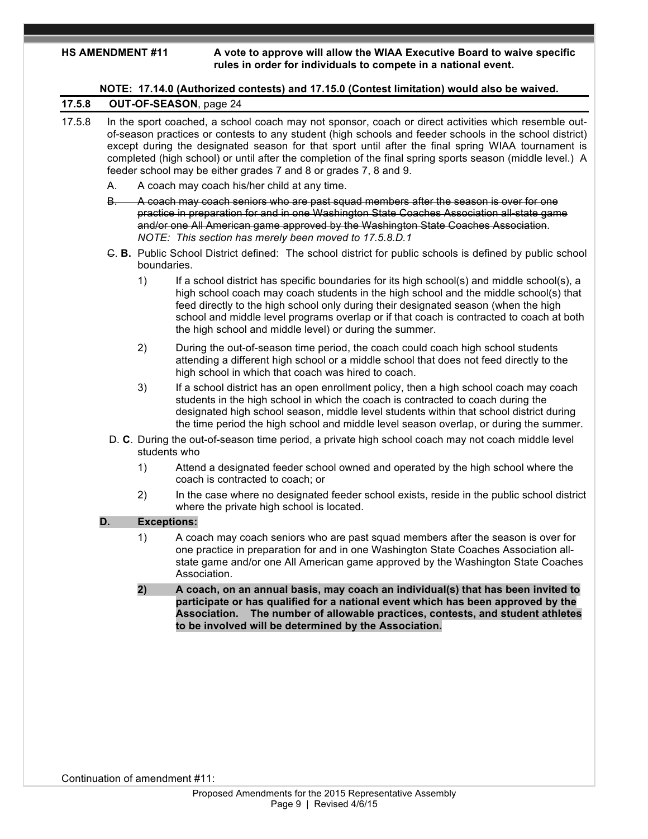**HS AMENDMENT #11 A vote to approve will allow the WIAA Executive Board to waive specific rules in order for individuals to compete in a national event.** 

|    |                    | NOTE: 17.14.0 (Authorized contests) and 17.15.0 (Contest limitation) would also be waived.                                                                                                                                                                                                                                                                                                                                                                                                                                                             |
|----|--------------------|--------------------------------------------------------------------------------------------------------------------------------------------------------------------------------------------------------------------------------------------------------------------------------------------------------------------------------------------------------------------------------------------------------------------------------------------------------------------------------------------------------------------------------------------------------|
|    |                    | OUT-OF-SEASON, page 24                                                                                                                                                                                                                                                                                                                                                                                                                                                                                                                                 |
| А. |                    | In the sport coached, a school coach may not sponsor, coach or direct activities which resemble out-<br>of-season practices or contests to any student (high schools and feeder schools in the school district)<br>except during the designated season for that sport until after the final spring WIAA tournament is<br>completed (high school) or until after the completion of the final spring sports season (middle level.) A<br>feeder school may be either grades 7 and 8 or grades 7, 8 and 9.<br>A coach may coach his/her child at any time. |
| B. |                    | A coach may coach seniors who are past squad members after the season is over for one<br>practice in preparation for and in one Washington State Coaches Association all-state game<br>and/or one All American game approved by the Washington State Coaches Association.<br>NOTE: This section has merely been moved to 17.5.8.D.1                                                                                                                                                                                                                    |
|    | boundaries.        | G. B. Public School District defined: The school district for public schools is defined by public school                                                                                                                                                                                                                                                                                                                                                                                                                                               |
|    | 1)                 | If a school district has specific boundaries for its high school(s) and middle school(s), a<br>high school coach may coach students in the high school and the middle school(s) that<br>feed directly to the high school only during their designated season (when the high<br>school and middle level programs overlap or if that coach is contracted to coach at both<br>the high school and middle level) or during the summer.                                                                                                                     |
|    | 2)                 | During the out-of-season time period, the coach could coach high school students<br>attending a different high school or a middle school that does not feed directly to the<br>high school in which that coach was hired to coach.                                                                                                                                                                                                                                                                                                                     |
|    | 3)                 | If a school district has an open enrollment policy, then a high school coach may coach<br>students in the high school in which the coach is contracted to coach during the<br>designated high school season, middle level students within that school district during<br>the time period the high school and middle level season overlap, or during the summer.                                                                                                                                                                                        |
|    | students who       | D. C. During the out-of-season time period, a private high school coach may not coach middle level                                                                                                                                                                                                                                                                                                                                                                                                                                                     |
|    | 1)                 | Attend a designated feeder school owned and operated by the high school where the<br>coach is contracted to coach; or                                                                                                                                                                                                                                                                                                                                                                                                                                  |
|    | 2)                 | In the case where no designated feeder school exists, reside in the public school district<br>where the private high school is located.                                                                                                                                                                                                                                                                                                                                                                                                                |
| D. | <b>Exceptions:</b> |                                                                                                                                                                                                                                                                                                                                                                                                                                                                                                                                                        |
|    | 1)                 | A coach may coach seniors who are past squad members after the season is over for<br>one practice in preparation for and in one Washington State Coaches Association all-<br>state game and/or one All American game approved by the Washington State Coaches<br>Association.                                                                                                                                                                                                                                                                          |
|    | 2)                 | A coach, on an annual basis, may coach an individual(s) that has been invited to<br>participate or has qualified for a national event which has been approved by the<br>The number of allowable practices, contests, and student athletes<br><b>Association.</b><br>to be involved will be determined by the Association.                                                                                                                                                                                                                              |
|    |                    |                                                                                                                                                                                                                                                                                                                                                                                                                                                                                                                                                        |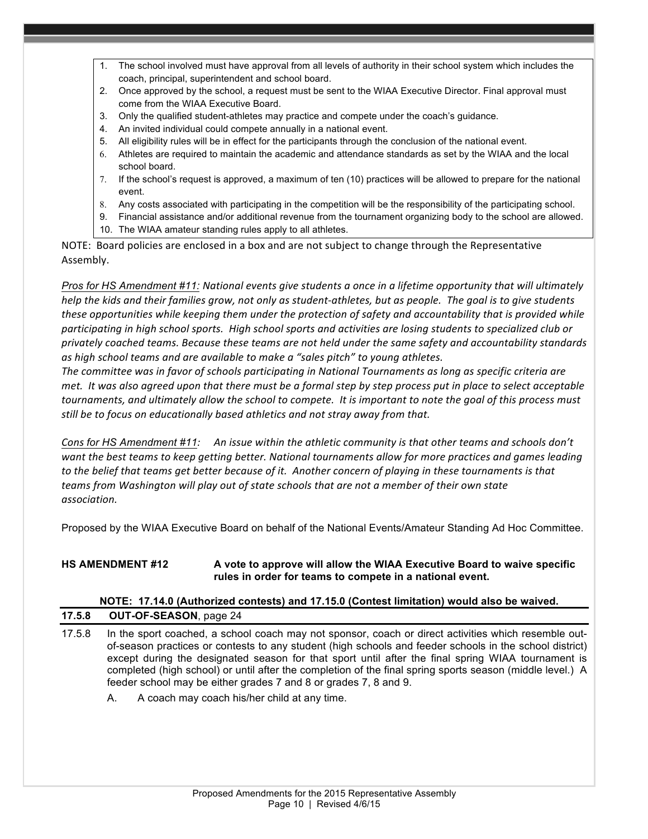- The school involved must have approval from all levels of authority in their school system which includes the coach, principal, superintendent and school board.
- 2. Once approved by the school, a request must be sent to the WIAA Executive Director. Final approval must come from the WIAA Executive Board.
- 3. Only the qualified student-athletes may practice and compete under the coach's guidance.
- 4. An invited individual could compete annually in a national event.
- 5. All eligibility rules will be in effect for the participants through the conclusion of the national event.
- 6. Athletes are required to maintain the academic and attendance standards as set by the WIAA and the local school board.
- 7. If the school's request is approved, a maximum of ten (10) practices will be allowed to prepare for the national event.
- 8. Any costs associated with participating in the competition will be the responsibility of the participating school.
- 9. Financial assistance and/or additional revenue from the tournament organizing body to the school are allowed.
- 10. The WIAA amateur standing rules apply to all athletes.

NOTE: Board policies are enclosed in a box and are not subject to change through the Representative Assembly.

*Pros* for HS Amendment #11: National events give students a once in a lifetime opportunity that will ultimately *help* the kids and their families grow, not only as student-athletes, but as people. The goal is to give students *these opportunities* while keeping them under the protection of safety and accountability that is provided while participating in high school sports. High school sports and activities are losing students to specialized club or *privately coached teams. Because these teams are not held under the same safety and accountability standards*  as high school teams and are available to make a "sales pitch" to young athletes.

*The committee was in favor of schools participating in National Tournaments as long as specific criteria are met.* It was also agreed upon that there must be a formal step by step process put in place to select acceptable *tournaments, and ultimately allow the school to compete. It is important to note the goal of this process must still* be to focus on educationally based athletics and not stray away from that.

*Cons for HS Amendment #11:* An issue within the athletic community is that other teams and schools don't want the best teams to keep getting better. National tournaments allow for more practices and games leading to the belief that teams get better because of it. Another concern of playing in these tournaments is that teams from Washington will play out of state schools that are not a member of their own state *association.*

Proposed by the WIAA Executive Board on behalf of the National Events/Amateur Standing Ad Hoc Committee.

### **HS AMENDMENT #12 A vote to approve will allow the WIAA Executive Board to waive specific rules in order for teams to compete in a national event.**

# **NOTE: 17.14.0 (Authorized contests) and 17.15.0 (Contest limitation) would also be waived.**

| 17.5.8 | <b>OUT-OF-SEASON, page 24</b> |  |
|--------|-------------------------------|--|
|--------|-------------------------------|--|

- 17.5.8 In the sport coached, a school coach may not sponsor, coach or direct activities which resemble outof-season practices or contests to any student (high schools and feeder schools in the school district) except during the designated season for that sport until after the final spring WIAA tournament is completed (high school) or until after the completion of the final spring sports season (middle level.) A feeder school may be either grades 7 and 8 or grades 7, 8 and 9.
	- A. A coach may coach his/her child at any time.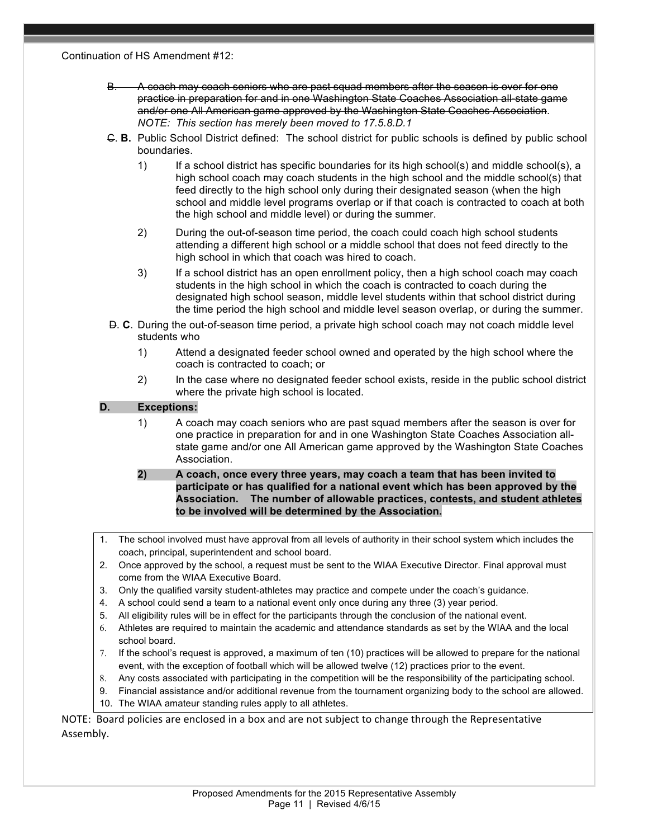Continuation of HS Amendment #12:

- B. A coach may coach seniors who are past squad members after the season is over for one practice in preparation for and in one Washington State Coaches Association all-state game and/or one All American game approved by the Washington State Coaches Association. *NOTE: This section has merely been moved to 17.5.8.D.1*
- C. **B.** Public School District defined: The school district for public schools is defined by public school boundaries.
	- 1) If a school district has specific boundaries for its high school(s) and middle school(s), a high school coach may coach students in the high school and the middle school(s) that feed directly to the high school only during their designated season (when the high school and middle level programs overlap or if that coach is contracted to coach at both the high school and middle level) or during the summer.
	- 2) During the out-of-season time period, the coach could coach high school students attending a different high school or a middle school that does not feed directly to the high school in which that coach was hired to coach.
	- 3) If a school district has an open enrollment policy, then a high school coach may coach students in the high school in which the coach is contracted to coach during the designated high school season, middle level students within that school district during the time period the high school and middle level season overlap, or during the summer.
- D. **C**. During the out-of-season time period, a private high school coach may not coach middle level students who
	- 1) Attend a designated feeder school owned and operated by the high school where the coach is contracted to coach; or
	- 2) In the case where no designated feeder school exists, reside in the public school district where the private high school is located.

# **D. Exceptions:**

- 1) A coach may coach seniors who are past squad members after the season is over for one practice in preparation for and in one Washington State Coaches Association allstate game and/or one All American game approved by the Washington State Coaches Association.
- **2) A coach, once every three years, may coach a team that has been invited to participate or has qualified for a national event which has been approved by the Association. The number of allowable practices, contests, and student athletes to be involved will be determined by the Association.**
- 1. The school involved must have approval from all levels of authority in their school system which includes the coach, principal, superintendent and school board.
- 2. Once approved by the school, a request must be sent to the WIAA Executive Director. Final approval must come from the WIAA Executive Board.
- 3. Only the qualified varsity student-athletes may practice and compete under the coach's guidance.
- 4. A school could send a team to a national event only once during any three (3) year period.
- 5. All eligibility rules will be in effect for the participants through the conclusion of the national event.
- 6. Athletes are required to maintain the academic and attendance standards as set by the WIAA and the local school board.
- 7. If the school's request is approved, a maximum of ten (10) practices will be allowed to prepare for the national event, with the exception of football which will be allowed twelve (12) practices prior to the event.
- 8. Any costs associated with participating in the competition will be the responsibility of the participating school.
- 9. Financial assistance and/or additional revenue from the tournament organizing body to the school are allowed.
- 10. The WIAA amateur standing rules apply to all athletes.

NOTE: Board policies are enclosed in a box and are not subject to change through the Representative Assembly.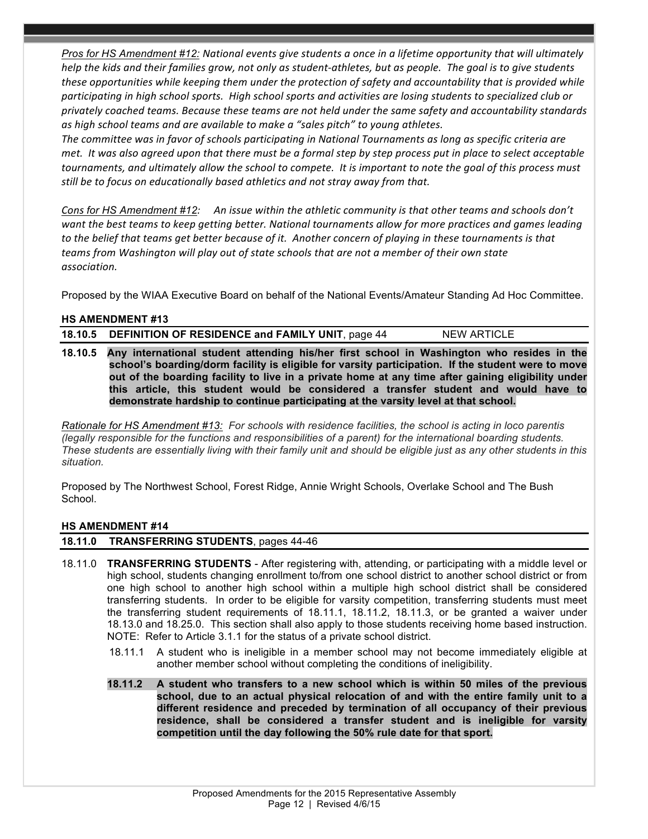*Pros for HS Amendment* #12: National events give students a once in a lifetime opportunity that will ultimately *help* the kids and their families grow, not only as student-athletes, but as people. The goal is to give students these opportunities while keeping them under the protection of safety and accountability that is provided while participating in high school sports. High school sports and activities are losing students to specialized club or *privately coached teams. Because these teams are not held under the same safety and accountability standards*  as high school teams and are available to make a "sales pitch" to young athletes.

The committee was in favor of schools participating in National Tournaments as long as specific criteria are *met.* It was also agreed upon that there must be a formal step by step process put in place to select acceptable *tournaments, and ultimately allow the school to compete. It is important to note the goal of this process must still* be to focus on educationally based athletics and not stray away from that.

*Cons* for HS Amendment #12: An issue within the athletic community is that other teams and schools don't want the best teams to keep getting better. National tournaments allow for more practices and games leading to the belief that teams get better because of it. Another concern of playing in these tournaments is that teams from Washington will play out of state schools that are not a member of their own state *association.*

Proposed by the WIAA Executive Board on behalf of the National Events/Amateur Standing Ad Hoc Committee.

### **HS AMENDMENT #13**

**18.10.5 DEFINITION OF RESIDENCE and FAMILY UNIT, page 44 NEW ARTICLE** 

**18.10.5 Any international student attending his/her first school in Washington who resides in the school's boarding/dorm facility is eligible for varsity participation. If the student were to move out of the boarding facility to live in a private home at any time after gaining eligibility under this article, this student would be considered a transfer student and would have to demonstrate hardship to continue participating at the varsity level at that school.**

*Rationale for HS Amendment #13: For schools with residence facilities, the school is acting in loco parentis (legally responsible for the functions and responsibilities of a parent) for the international boarding students. These students are essentially living with their family unit and should be eligible just as any other students in this situation.*

Proposed by The Northwest School, Forest Ridge, Annie Wright Schools, Overlake School and The Bush School.

#### **HS AMENDMENT #14**

#### **18.11.0 TRANSFERRING STUDENTS**, pages 44-46

- 18.11.0 **TRANSFERRING STUDENTS** After registering with, attending, or participating with a middle level or high school, students changing enrollment to/from one school district to another school district or from one high school to another high school within a multiple high school district shall be considered transferring students. In order to be eligible for varsity competition, transferring students must meet the transferring student requirements of 18.11.1, 18.11.2, 18.11.3, or be granted a waiver under 18.13.0 and 18.25.0. This section shall also apply to those students receiving home based instruction. NOTE: Refer to Article 3.1.1 for the status of a private school district.
	- 18.11.1 A student who is ineligible in a member school may not become immediately eligible at another member school without completing the conditions of ineligibility.
	- **18.11.2 A student who transfers to a new school which is within 50 miles of the previous school, due to an actual physical relocation of and with the entire family unit to a different residence and preceded by termination of all occupancy of their previous residence, shall be considered a transfer student and is ineligible for varsity competition until the day following the 50% rule date for that sport.**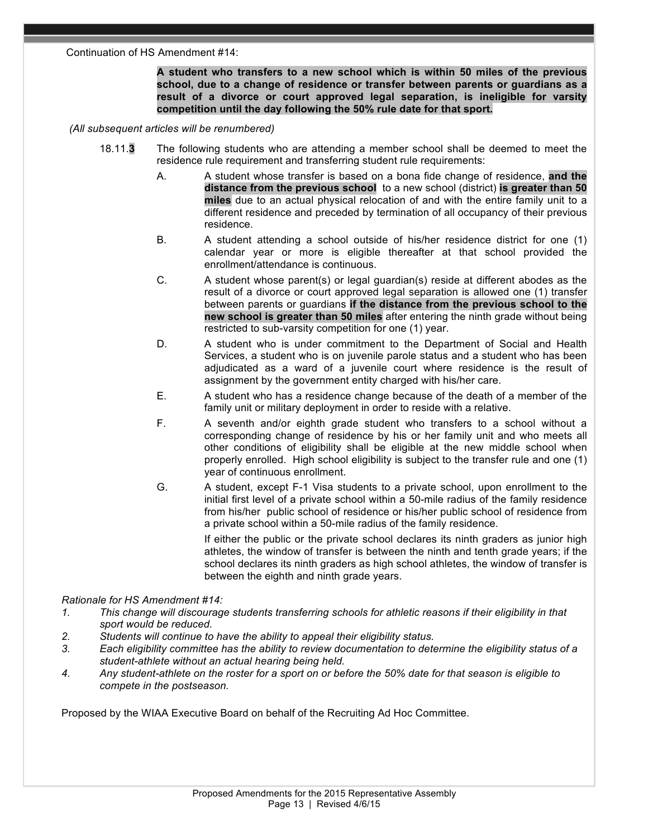#### Continuation of HS Amendment #14:

**A student who transfers to a new school which is within 50 miles of the previous school, due to a change of residence or transfer between parents or guardians as a result of a divorce or court approved legal separation, is ineligible for varsity competition until the day following the 50% rule date for that sport.**

#### *(All subsequent articles will be renumbered)*

- 18.11.**3** The following students who are attending a member school shall be deemed to meet the residence rule requirement and transferring student rule requirements:
	- A. A student whose transfer is based on a bona fide change of residence, **and the distance from the previous school** to a new school (district) **is greater than 50 miles** due to an actual physical relocation of and with the entire family unit to a different residence and preceded by termination of all occupancy of their previous residence.
	- B. A student attending a school outside of his/her residence district for one (1) calendar year or more is eligible thereafter at that school provided the enrollment/attendance is continuous.
	- C. A student whose parent(s) or legal guardian(s) reside at different abodes as the result of a divorce or court approved legal separation is allowed one (1) transfer between parents or guardians **if the distance from the previous school to the new school is greater than 50 miles** after entering the ninth grade without being restricted to sub-varsity competition for one (1) year.
	- D. A student who is under commitment to the Department of Social and Health Services, a student who is on juvenile parole status and a student who has been adjudicated as a ward of a juvenile court where residence is the result of assignment by the government entity charged with his/her care.
	- E. A student who has a residence change because of the death of a member of the family unit or military deployment in order to reside with a relative.
	- F. A seventh and/or eighth grade student who transfers to a school without a corresponding change of residence by his or her family unit and who meets all other conditions of eligibility shall be eligible at the new middle school when properly enrolled. High school eligibility is subject to the transfer rule and one (1) year of continuous enrollment.
	- G. A student, except F-1 Visa students to a private school, upon enrollment to the initial first level of a private school within a 50-mile radius of the family residence from his/her public school of residence or his/her public school of residence from a private school within a 50-mile radius of the family residence.

 If either the public or the private school declares its ninth graders as junior high athletes, the window of transfer is between the ninth and tenth grade years; if the school declares its ninth graders as high school athletes, the window of transfer is between the eighth and ninth grade years.

# *Rationale for HS Amendment #14:*

- *1. This change will discourage students transferring schools for athletic reasons if their eligibility in that sport would be reduced.*
- *2. Students will continue to have the ability to appeal their eligibility status.*
- *3. Each eligibility committee has the ability to review documentation to determine the eligibility status of a student-athlete without an actual hearing being held.*
- *4. Any student-athlete on the roster for a sport on or before the 50% date for that season is eligible to compete in the postseason.*

Proposed by the WIAA Executive Board on behalf of the Recruiting Ad Hoc Committee.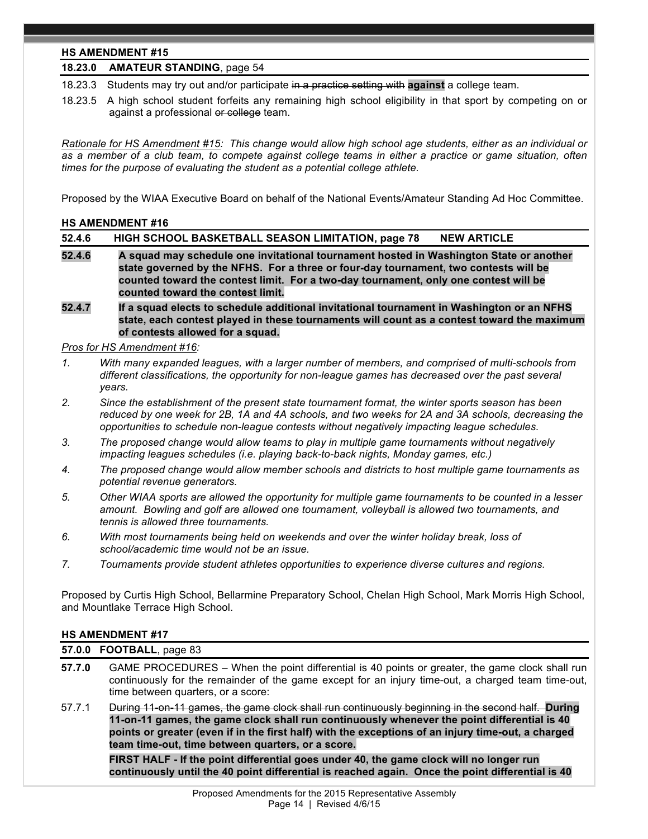# **HS AMENDMENT #15**

# **18.23.0 AMATEUR STANDING**, page 54

18.23.3 Students may try out and/or participate in a practice setting with **against** a college team.

18.23.5 A high school student forfeits any remaining high school eligibility in that sport by competing on or against a professional or college team.

*Rationale for HS Amendment #15: This change would allow high school age students, either as an individual or as a member of a club team, to compete against college teams in either a practice or game situation, often times for the purpose of evaluating the student as a potential college athlete.*

Proposed by the WIAA Executive Board on behalf of the National Events/Amateur Standing Ad Hoc Committee.

#### **HS AMENDMENT #16**

| 52.4.6 | HIGH SCHOOL BASKETBALL SEASON LIMITATION, page 78<br><b>NEW ARTICLE</b>                                                                                                                                                                                                                                     |
|--------|-------------------------------------------------------------------------------------------------------------------------------------------------------------------------------------------------------------------------------------------------------------------------------------------------------------|
| 52.4.6 | A squad may schedule one invitational tournament hosted in Washington State or another<br>state governed by the NFHS. For a three or four-day tournament, two contests will be<br>counted toward the contest limit. For a two-day tournament, only one contest will be<br>counted toward the contest limit. |
|        | .                                                                                                                                                                                                                                                                                                           |

**52.4.7 If a squad elects to schedule additional invitational tournament in Washington or an NFHS state, each contest played in these tournaments will count as a contest toward the maximum of contests allowed for a squad.**

# *Pros for HS Amendment #16:*

- *1. With many expanded leagues, with a larger number of members, and comprised of multi-schools from different classifications, the opportunity for non-league games has decreased over the past several years.*
- *2. Since the establishment of the present state tournament format, the winter sports season has been reduced by one week for 2B, 1A and 4A schools, and two weeks for 2A and 3A schools, decreasing the opportunities to schedule non-league contests without negatively impacting league schedules.*
- *3. The proposed change would allow teams to play in multiple game tournaments without negatively impacting leagues schedules (i.e. playing back-to-back nights, Monday games, etc.)*
- *4. The proposed change would allow member schools and districts to host multiple game tournaments as potential revenue generators.*
- *5. Other WIAA sports are allowed the opportunity for multiple game tournaments to be counted in a lesser amount. Bowling and golf are allowed one tournament, volleyball is allowed two tournaments, and tennis is allowed three tournaments.*
- *6. With most tournaments being held on weekends and over the winter holiday break, loss of school/academic time would not be an issue.*
- *7. Tournaments provide student athletes opportunities to experience diverse cultures and regions.*

Proposed by Curtis High School, Bellarmine Preparatory School, Chelan High School, Mark Morris High School, and Mountlake Terrace High School.

#### **HS AMENDMENT #17**

**57.0.0 FOOTBALL**, page 83

- **57.7.0** GAME PROCEDURES When the point differential is 40 points or greater, the game clock shall run continuously for the remainder of the game except for an injury time-out, a charged team time-out, time between quarters, or a score:
- 57.7.1 During 11-on-11 games, the game clock shall run continuously beginning in the second half. **During 11-on-11 games, the game clock shall run continuously whenever the point differential is 40 points or greater (even if in the first half) with the exceptions of an injury time-out, a charged team time-out, time between quarters, or a score.**

**FIRST HALF - If the point differential goes under 40, the game clock will no longer run continuously until the 40 point differential is reached again. Once the point differential is 40**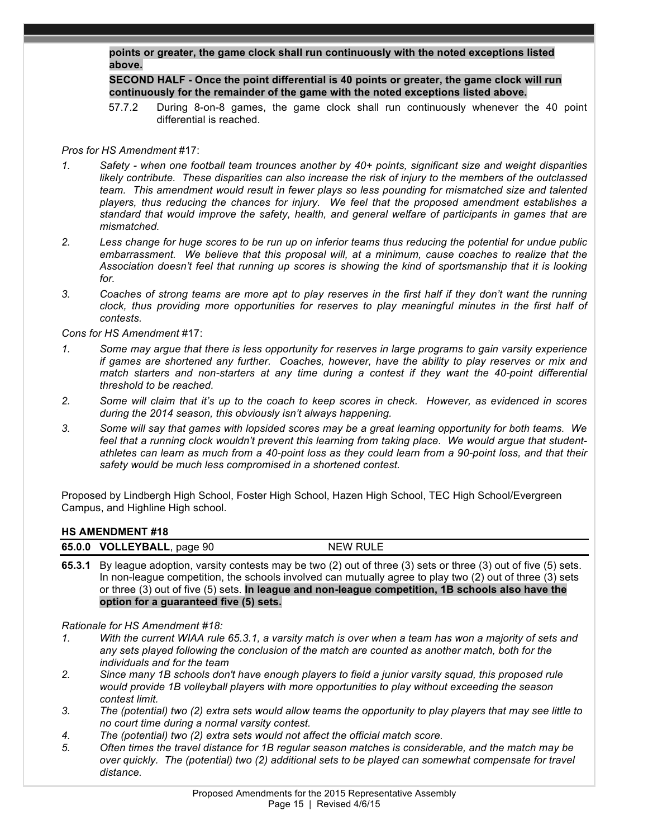**points or greater, the game clock shall run continuously with the noted exceptions listed above.**

**SECOND HALF - Once the point differential is 40 points or greater, the game clock will run continuously for the remainder of the game with the noted exceptions listed above.**

57.7.2 During 8-on-8 games, the game clock shall run continuously whenever the 40 point differential is reached.

## *Pros for HS Amendment* #17:

- *1. Safety - when one football team trounces another by 40+ points, significant size and weight disparities likely contribute. These disparities can also increase the risk of injury to the members of the outclassed team. This amendment would result in fewer plays so less pounding for mismatched size and talented players, thus reducing the chances for injury. We feel that the proposed amendment establishes a standard that would improve the safety, health, and general welfare of participants in games that are mismatched.*
- *2. Less change for huge scores to be run up on inferior teams thus reducing the potential for undue public embarrassment. We believe that this proposal will, at a minimum, cause coaches to realize that the Association doesn't feel that running up scores is showing the kind of sportsmanship that it is looking for.*
- *3. Coaches of strong teams are more apt to play reserves in the first half if they don't want the running clock, thus providing more opportunities for reserves to play meaningful minutes in the first half of contests.*

*Cons for HS Amendment* #17:

- *1. Some may argue that there is less opportunity for reserves in large programs to gain varsity experience if games are shortened any further. Coaches, however, have the ability to play reserves or mix and match starters and non-starters at any time during a contest if they want the 40-point differential threshold to be reached.*
- *2. Some will claim that it's up to the coach to keep scores in check. However, as evidenced in scores during the 2014 season, this obviously isn't always happening.*
- *3. Some will say that games with lopsided scores may be a great learning opportunity for both teams. We feel that a running clock wouldn't prevent this learning from taking place. We would argue that studentathletes can learn as much from a 40-point loss as they could learn from a 90-point loss, and that their safety would be much less compromised in a shortened contest.*

Proposed by Lindbergh High School, Foster High School, Hazen High School, TEC High School/Evergreen Campus, and Highline High school.

#### **HS AMENDMENT #18**

| 65.0.0 VOLLEYBALL,<br>page 90 | <b>NEW RULE</b> |
|-------------------------------|-----------------|

**65.3.1** By league adoption, varsity contests may be two (2) out of three (3) sets or three (3) out of five (5) sets. In non-league competition, the schools involved can mutually agree to play two (2) out of three (3) sets or three (3) out of five (5) sets. **In league and non-league competition, 1B schools also have the option for a guaranteed five (5) sets.**

*Rationale for HS Amendment #18:* 

- *1. With the current WIAA rule 65.3.1, a varsity match is over when a team has won a majority of sets and any sets played following the conclusion of the match are counted as another match, both for the individuals and for the team*
- *2. Since many 1B schools don't have enough players to field a junior varsity squad, this proposed rule would provide 1B volleyball players with more opportunities to play without exceeding the season contest limit.*
- *3. The (potential) two (2) extra sets would allow teams the opportunity to play players that may see little to no court time during a normal varsity contest.*
- *4. The (potential) two (2) extra sets would not affect the official match score.*
- *5. Often times the travel distance for 1B regular season matches is considerable, and the match may be over quickly. The (potential) two (2) additional sets to be played can somewhat compensate for travel distance.*